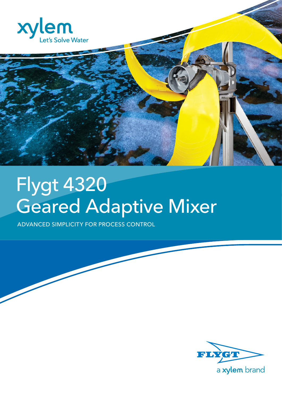

# Flygt 4320 Geared Adaptive Mixer

ADVANCED SIMPLICITY FOR PROCESS CONTROL

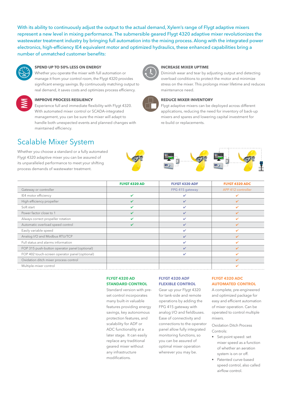With its ability to continuously adjust the output to the actual demand, Xylem's range of Flygt adaptive mixers represent a new level in mixing performance. The submersible geared Flygt 4320 adaptive mixer revolutionizes the wastewater treatment industry by bringing full automation into the mixing process. Along with the integrated power electronics, high-efficiency IE4 equivalent motor and optimized hydraulics, these enhanced capabilities bring a number of unmatched customer benefits:



### **SPEND UP TO 50% LESS ON ENERGY**

Whether you operate the mixer with full automation or manage it from your control room, the Flygt 4320 provides significant energy savings. By continuously matching output to real demand, it saves costs and optimizes process efficiency.



### **IMPROVE PROCESS RESILIENCY**

Experience full and immediate flexibility with Flygt 4320. With automated mixer control or SCADA-integrated management, you can be sure the mixer will adapt to handle both unexpected events and planned changes with maintained efficiency.

### Scalable Mixer System

Whether you choose a standard or a fully automated Flygt 4320 adaptive mixer you can be assured of its unparalleled performance to meet your shifting process demands of wastewater treatment.



### **INCREASE MIXER UPTIME**

Diminish wear and tear by adjusting output and detecting overload conditions to protect the motor and minimize stress on the mixer. This prolongs mixer lifetime and reduces maintenance need.



#### **REDUCE MIXER INVENTORY**

Flygt adaptive mixers can be deployed across different applications, reducing the need for inventory of back-up mixers and spares and lowering capital investment for re-build or replacements.

|                                                | <b>FLYGT 4320 AD</b>    | FLYGT 4320 ADF  | FLYGT 4320 ADC           |
|------------------------------------------------|-------------------------|-----------------|--------------------------|
| Gateway or controller                          |                         | FPG 415 gateway | APP 412 controller       |
| IE4 motor efficiency                           | ✓                       | ୰               | び                        |
| High efficiency propeller                      | $\overline{\mathbf{v}}$ | ✓               | ✔                        |
| Soft start                                     | ✔                       | ✓               | ✔                        |
| Power factor close to 1                        | $\overline{\mathbf{v}}$ | ✓               | ✔                        |
| Always correct propeller rotation              | ✔                       | ✓               | $\overline{\mathbf{v}}$  |
| Automatic overload speed control               | ✓                       | ✓               | $\overline{\mathscr{L}}$ |
| Easily variable speed                          |                         | ✓               | $\overline{\mathbf{v}}$  |
| Analog I/O and Modbus RTU/TCP                  |                         | ✓               | $\overline{\mathscr{L}}$ |
| Full status and alarms information             |                         | ✓               | ✓                        |
| FOP 315 push-button operator panel (optional)  |                         | ✓               | $\overline{\mathscr{L}}$ |
| FOP 402 touch-screen operator panel (optional) |                         | ✓               | ✓                        |
| Oxidation ditch mixer process control          |                         |                 | $\overline{\mathscr{L}}$ |
| Multiple-mixer control                         |                         |                 |                          |

**FLYGT 4320 AD STANDARD CONTROL**

Standard version with preset control incorporates many built-in valuable features providing energy savings, key autonomous protection features, and scalability for ADF or ADC functionality at a later stage. It can easily replace any traditional geared mixer without any infrastructure modifications.

### **FLYGT 4320 ADF FLEXIBLE CONTROL**

Gear up your Flygt 4320 for tank-side and remote operations by adding the FPG 415 gateway with analog I/O and fieldbuses. Ease of connectivity and connections to the operator panel allow fully integrated monitoring functions, so you can be assured of optimal mixer operation wherever you may be.

### **FLYGT 4320 ADC AUTOMATED CONTROL**

A complete, pre-engineered and optimized package for easy and efficient automation of mixer operation. Can be operated to control multiple mixers.

Oxidation Ditch Process Controls:

- Set-point speed: set mixer speed as a function of whether an aeration system is on or off.
- Patented curve-based speed control, also called airflow control.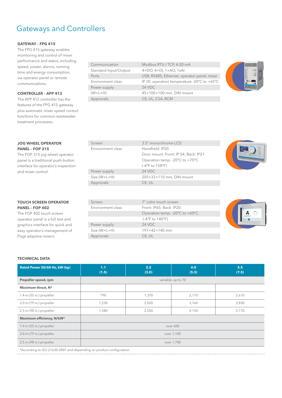### Gateways and Controllers

### **GATEWAY – FPG 415**

The FPG 415 gateway enables monitoring and control of mixer performance and status, including speed, power, alarms, running time and energy consumption, via operator panel or remote communications.

### **CONTROLLER – APP 412**

The APP 412 controller has the features of the FPG 415 gateway plus automatic mixer speed control functions for common wastewater treatment processes.

### **JOG WHEEL OPERATOR PANEL – FOP 315**

The FOP 315 jog wheel operator panel is a traditional push-button interface for operator's inspection and mixer control.

### **TOUCH SCREEN OPERATOR PANEL – FOP 402**

The FOP 402 touch screen operator panel is a full text and graphics interface for quick and easy operator's management of Flygt adaptive mixers.

| Communication           | Modbus RTU / TCP, 4-20 mA                                  |
|-------------------------|------------------------------------------------------------|
| Standard Input/Output   | $4 \times$ DO, $4 \times$ DI, $1 \times$ AO, $1 \times$ AI |
| Ports                   | USB, RS485, Ethernet, opera                                |
| Environment class       | IP 20, operation temperature                               |
| Power supply            | 24 VDC                                                     |
| $(W \times L \times H)$ | 45×100×100 mm, DIN mour                                    |
| Approvals               | CE, UL, CSA, RCM                                           |

 $4\times$ DI, 1 $\times$ AO, 1 $\times$ AI Ports **Ports Example 2018** USB, RS485, Ethernet, operator panel, mixer operation temperature -20 $^{\circ}$ C to +65 $^{\circ}$ C  $(0 \times 100 \text{ mm}, \text{DIN} \text{ mount})$ 



| Screen                       | 3.5" monochrome LCD                                |  |
|------------------------------|----------------------------------------------------|--|
| Environment class            | Handheld: IP20                                     |  |
|                              | Door mount. Front: IP 54; Back: IP21               |  |
|                              | Operation temp: -20 $\degree$ C to +70 $\degree$ C |  |
|                              | (-4°F to 158°F)                                    |  |
| Power supply                 | 24 VDC                                             |  |
| $Size (W \times L \times H)$ | 205×33×110 mm, DIN mount                           |  |
| Approvals                    | CE, UL                                             |  |
|                              |                                                    |  |

| Screen                       | 7" color touch screen                              |
|------------------------------|----------------------------------------------------|
| Environment class            | Front: IP65; Back: IP20                            |
|                              | Operation temp: -20 $\degree$ C to +60 $\degree$ C |
|                              | $(-4^{\circ}$ F to 140 $^{\circ}$ F)               |
| Power supply                 | 24 VDC                                             |
| $Size (W \times L \times H)$ | $197\times42\times140$ mm                          |
| Approvals                    | CE, UL                                             |

### **TECHNICAL DATA**

Ī

| Rated Power 50/60 Hz, kW (hp) | 1.1<br>(1.5)       | 2.2<br>(3.0) | 4.0<br>(5.5) | 5.5<br>(7.5) |
|-------------------------------|--------------------|--------------|--------------|--------------|
| Propeller speed, rpm          | variable, up to 70 |              |              |              |
| Maximum thrust, N*            |                    |              |              |              |
| 1.4 m (55 in.) propeller      | 790                | 1,370        | 2,170        | 2,610        |
| 2.0 m (79 in.) propeller      | 1,230              | 2,020        | 3,160        | 3,830        |
| 2.5 m (98 in.) propeller      | 1,580              | 2,550        | 4,150        | 5,170        |
| Maximum efficiency, N/kW*     |                    |              |              |              |
| 1.4 m $(55 in.)$ propeller    | over 600           |              |              |              |
| 2.0 m (79 in.) propeller      | over 1,100         |              |              |              |
| 2.5 m (98 in.) propeller      | over 1,700         |              |              |              |

\*According to ISO 21630:2007 and depending on product configuration